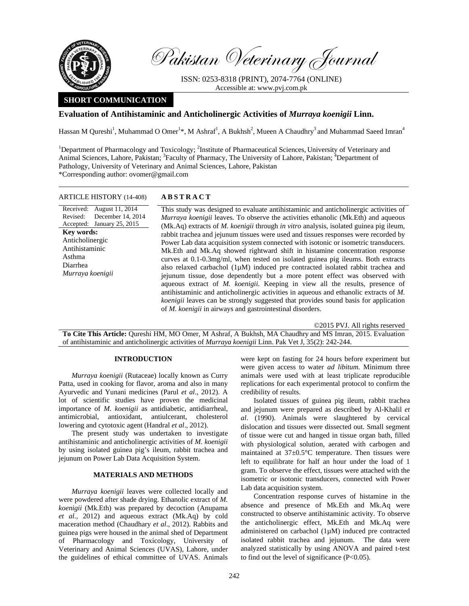

Pakistan Veterinary Journal

ISSN: 0253-8318 (PRINT), 2074-7764 (ONLINE) Accessible at: www.pvj.com.pk

# **SHORT COMMUNICATION**

## **Evaluation of Antihistaminic and Anticholinergic Activities of** *Murraya koenigii* **Linn.**

Hassan M Qureshi<sup>1</sup>, Muhammad O Omer<sup>1\*</sup>, M Ashraf<sup>1</sup>, A Bukhsh<sup>2</sup>, Mueen A Chaudhry<sup>3</sup> and Muhammad Saeed Imran<sup>4</sup>

<sup>1</sup>Department of Pharmacology and Toxicology; <sup>2</sup>Institute of Pharmaceutical Sciences, University of Veterinary and Animal Sciences, Lahore, Pakistan; <sup>3</sup> Faculty of Pharmacy, The University of Lahore, Pakistan; <sup>4</sup> Department of Pathology, University of Veterinary and Animal Sciences, Lahore, Pakistan \*Corresponding author: ovomer@gmail.com

| <b>ARTICLE HISTORY (14-408)</b>                                                                                                                                                       | <b>ABSTRACT</b>                                                                                                                                                                                                                                                                                                                                                                                                                                                                                                                                                                                                                                                                                                                                                                                                                                                                                                                                                                                     |
|---------------------------------------------------------------------------------------------------------------------------------------------------------------------------------------|-----------------------------------------------------------------------------------------------------------------------------------------------------------------------------------------------------------------------------------------------------------------------------------------------------------------------------------------------------------------------------------------------------------------------------------------------------------------------------------------------------------------------------------------------------------------------------------------------------------------------------------------------------------------------------------------------------------------------------------------------------------------------------------------------------------------------------------------------------------------------------------------------------------------------------------------------------------------------------------------------------|
| Received: August 11, 2014<br>December 14, 2014<br>Revised:<br>Accepted: January 25, 2015<br>Key words:<br>Anticholinergic<br>Antihistaminic<br>Asthma<br>Diarrhea<br>Murraya koenigii | This study was designed to evaluate antihistaminic and anticholinergic activities of<br><i>Murraya koenigii</i> leaves. To observe the activities ethanolic (Mk. Eth) and aqueous<br>(Mk.Aq) extracts of <i>M. koenigii</i> through <i>in vitro</i> analysis, isolated guinea pig ileum,<br>rabbit trachea and jejunum tissues were used and tissues responses were recorded by<br>Power Lab data acquisition system connected with isotonic or isometric transducers.<br>Mk. Eth and Mk. Aq showed rightward shift in histamine concentration response<br>curves at 0.1-0.3mg/ml, when tested on isolated guinea pig ileums. Both extracts<br>also relaxed carbachol $(1\mu M)$ induced pre contracted isolated rabbit trachea and<br>jejunum tissue, dose dependently but a more potent effect was observed with<br>aqueous extract of <i>M. koenigii</i> . Keeping in view all the results, presence of<br>antihistaminic and anticholinergic activities in aqueous and ethanolic extracts of M. |
|                                                                                                                                                                                       | <i>koenigii</i> leaves can be strongly suggested that provides sound basis for application                                                                                                                                                                                                                                                                                                                                                                                                                                                                                                                                                                                                                                                                                                                                                                                                                                                                                                          |

**To Cite This Article:** Qureshi HM, MO Omer, M Ashraf, A Bukhsh, MA Chaudhry and MS Imran, 2015. Evaluation of antihistaminic and anticholinergic activities of *Murraya koenigii* Linn. Pak Vet J, 35(2): 242-244.

of *M. koenigii* in airways and gastrointestinal disorders.

#### **INTRODUCTION**

*Murraya koenigii* (Rutaceae) locally known as Curry Patta, used in cooking for flavor, aroma and also in many Ayurvedic and Yunani medicines (Parul *et al*., 2012). A lot of scientific studies have proven the medicinal importance of *M. koenigii* as antidiabetic, antidiarrheal, antimicrobial, antioxidant, antiulcerant, cholesterol lowering and cytotoxic agent (Handral *et al*., 2012).

The present study was undertaken to investigate antihistaminic and anticholinergic activities of *M. koenigii* by using isolated guinea pig's ileum, rabbit trachea and jejunum on Power Lab Data Acquisition System.

## **MATERIALS AND METHODS**

*Murraya koenigii* leaves were collected locally and were powdered after shade drying. Ethanolic extract of *M. koenigii* (Mk.Eth) was prepared by decoction (Anupama *et al.,* 2012) and aqueous extract (Mk.Aq) by cold maceration method (Chaudhary *et al*., 2012). Rabbits and guinea pigs were housed in the animal shed of Department of Pharmacology and Toxicology, University of Veterinary and Animal Sciences (UVAS), Lahore, under the guidelines of ethical committee of UVAS. Animals

were kept on fasting for 24 hours before experiment but were given access to water *ad libitum*. Minimum three animals were used with at least triplicate reproducible replications for each experimental protocol to confirm the credibility of results.

©2015 PVJ. All rights reserved

Isolated tissues of guinea pig ileum, rabbit trachea and jejunum were prepared as described by Al-Khalil *et al*. (1990). Animals were slaughtered by cervical dislocation and tissues were dissected out. Small segment of tissue were cut and hanged in tissue organ bath, filled with physiological solution, aerated with carbogen and maintained at 37±0.5°C temperature. Then tissues were left to equilibrate for half an hour under the load of 1 gram. To observe the effect, tissues were attached with the isometric or isotonic transducers, connected with Power Lab data acquisition system.

Concentration response curves of histamine in the absence and presence of Mk.Eth and Mk.Aq were constructed to observe antihistaminic activity. To observe the anticholinergic effect, Mk.Eth and Mk.Aq were administered on carbachol (1µM) induced pre contracted isolated rabbit trachea and jejunum. The data were analyzed statistically by using ANOVA and paired t-test to find out the level of significance  $(P<0.05)$ .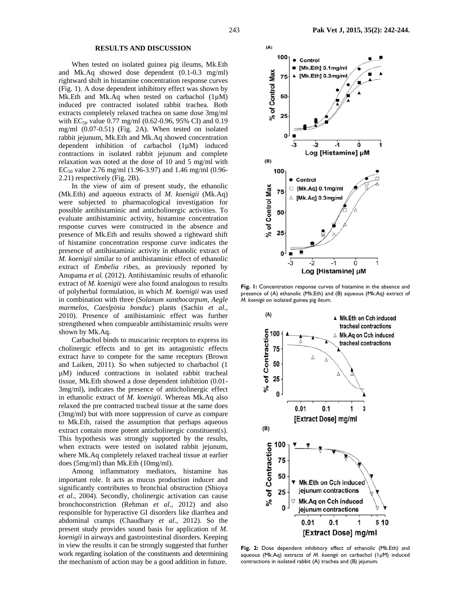### **RESULTS AND DISCUSSION**

When tested on isolated guinea pig ileums, Mk.Eth and Mk.Aq showed dose dependent (0.1-0.3 mg/ml) rightward shift in histamine concentration response curves (Fig. 1). A dose dependent inhibitory effect was shown by Mk.Eth and Mk.Aq when tested on carbachol (1µM) induced pre contracted isolated rabbit trachea. Both extracts completely relaxed trachea on same dose 3mg/ml with EC<sub>50</sub> value 0.77 mg/ml (0.62-0.96, 95% CI) and 0.19 mg/ml (0.07-0.51) (Fig. 2A). When tested on isolated rabbit jejunum, Mk.Eth and Mk.Aq showed concentration dependent inhibition of carbachol (1µM) induced contractions in isolated rabbit jejunum and complete relaxation was noted at the dose of 10 and 5 mg/ml with  $EC_{50}$  value 2.76 mg/ml (1.96-3.97) and 1.46 mg/ml (0.96-2.21) respectively (Fig. 2B).

In the view of aim of present study, the ethanolic (Mk.Eth) and aqueous extracts of *M. koenigii* (Mk.Aq) were subjected to pharmacological investigation for possible antihistaminic and anticholinergic activities. To evaluate antihistaminic activity, histamine concentration response curves were constructed in the absence and presence of Mk.Eth and results showed a rightward shift of histamine concentration response curve indicates the presence of antihistaminic activity in ethanolic extract of *M. koenigii* similar to of antihistaminic effect of ethanolic extract of *Embelia ribes,* as previously reported by Anupama *et al.* (2012). Antihistaminic results of ethanolic extract of *M. koenigii* were also found analogous to results of polyherbal formulation, in which *M. koenigii* was used in combination with three (*Solanum xanthocarpum, Aegle marmelos, Caeslpinia bonduc*) plants (Sachin *et al.,*  2010). Presence of antihistaminic effect was further strengthened when comparable antihistaminic results were shown by Mk.Aq.

Carbachol binds to muscarinic receptors to express its cholinergic effects and to get its antagonistic effects extract have to compete for the same receptors (Brown and Laiken, 2011). So when subjected to charbachol (1 µM) induced contractions in isolated rabbit tracheal tissue, Mk.Eth showed a dose dependent inhibition (0.01- 3mg/ml), indicates the presence of anticholinergic effect in ethanolic extract of *M. koenigii*. Whereas Mk.Aq also relaxed the pre contracted tracheal tissue at the same does (3mg/ml) but with more suppression of curve as compare to Mk.Eth, raised the assumption that perhaps aqueous extract contain more potent anticholinergic constituent(s). This hypothesis was strongly supported by the results, when extracts were tested on isolated rabbit jejunum, where Mk.Aq completely relaxed tracheal tissue at earlier does (5mg/ml) than Mk.Eth (10mg/ml).

Among inflammatory mediators, histamine has important role. It acts as mucus production inducer and significantly contributes to bronchial obstruction (Shioya *et al*., 2004). Secondly, cholinergic activation can cause bronchoconstriction (Rehman *et al*., 2012) and also responsible for hyperactive GI disorders like diarrhea and abdominal cramps (Chaudhary *et al*., 2012). So the present study provides sound basis for application of *M. koenigii* in airways and gastrointestinal disorders. Keeping in view the results it can be strongly suggested that further work regarding isolation of the constituents and determining the mechanism of action may be a good addition in future.



Fig. 1: Concentration response curves of histamine in the absence and presence of (A) ethanolic (Mk.Eth) and (B) aqueous (Mk.Aq) extract of *M. koenigii* on isolated guinea pig ileum.



**Fig. 2:** Dose dependent inhibitory effect of ethanolic (Mk.Eth) and aqueous (Mk.Aq) extracts of *M. koenigii* on carbachol (1µM) induced contractions in isolated rabbit (A) trachea and (B) jejunum.